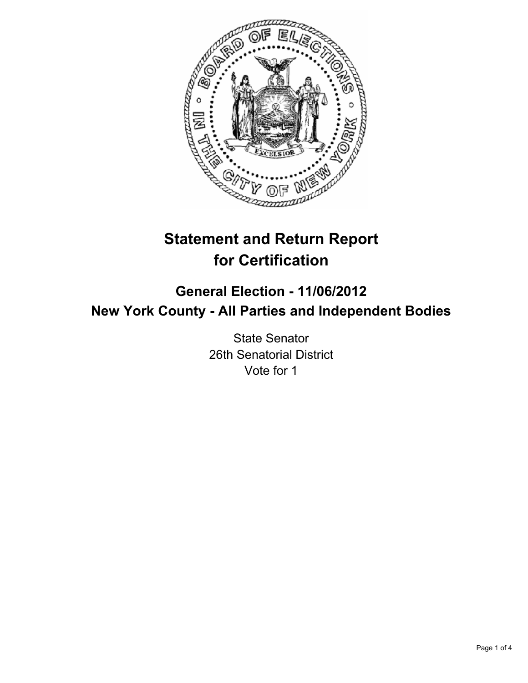

# **Statement and Return Report for Certification**

# **General Election - 11/06/2012 New York County - All Parties and Independent Bodies**

State Senator 26th Senatorial District Vote for 1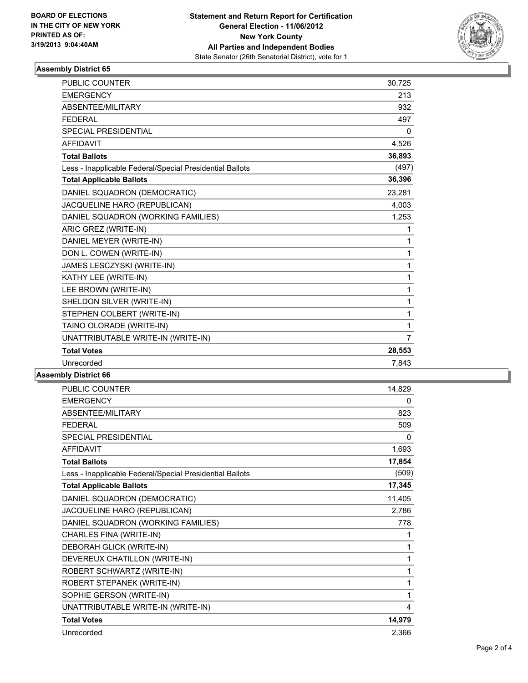

## **Assembly District 65**

| <b>PUBLIC COUNTER</b>                                    | 30,725         |
|----------------------------------------------------------|----------------|
| <b>EMERGENCY</b>                                         | 213            |
| ABSENTEE/MILITARY                                        | 932            |
| <b>FEDERAL</b>                                           | 497            |
| <b>SPECIAL PRESIDENTIAL</b>                              | $\mathbf{0}$   |
| <b>AFFIDAVIT</b>                                         | 4,526          |
| <b>Total Ballots</b>                                     | 36,893         |
| Less - Inapplicable Federal/Special Presidential Ballots | (497)          |
| <b>Total Applicable Ballots</b>                          | 36,396         |
| DANIEL SQUADRON (DEMOCRATIC)                             | 23,281         |
| JACQUELINE HARO (REPUBLICAN)                             | 4,003          |
| DANIEL SQUADRON (WORKING FAMILIES)                       | 1,253          |
| ARIC GREZ (WRITE-IN)                                     | 1              |
| DANIEL MEYER (WRITE-IN)                                  | 1              |
| DON L. COWEN (WRITE-IN)                                  | 1              |
| JAMES LESCZYSKI (WRITE-IN)                               | 1              |
| KATHY LEE (WRITE-IN)                                     | 1              |
| LEE BROWN (WRITE-IN)                                     | 1              |
| SHELDON SILVER (WRITE-IN)                                | 1              |
| STEPHEN COLBERT (WRITE-IN)                               | 1              |
| TAINO OLORADE (WRITE-IN)                                 | 1              |
| UNATTRIBUTABLE WRITE-IN (WRITE-IN)                       | $\overline{7}$ |
| <b>Total Votes</b>                                       | 28,553         |
| Unrecorded                                               | 7,843          |

#### **Assembly District 66**

| PUBLIC COUNTER                                           | 14,829       |
|----------------------------------------------------------|--------------|
| <b>EMERGENCY</b>                                         | 0            |
| ABSENTEE/MILITARY                                        | 823          |
| <b>FEDERAL</b>                                           | 509          |
| SPECIAL PRESIDENTIAL                                     | $\mathbf{0}$ |
| <b>AFFIDAVIT</b>                                         | 1,693        |
| <b>Total Ballots</b>                                     | 17,854       |
| Less - Inapplicable Federal/Special Presidential Ballots | (509)        |
| <b>Total Applicable Ballots</b>                          | 17,345       |
| DANIEL SQUADRON (DEMOCRATIC)                             | 11,405       |
| JACQUELINE HARO (REPUBLICAN)                             | 2,786        |
| DANIEL SQUADRON (WORKING FAMILIES)                       | 778          |
| CHARLES FINA (WRITE-IN)                                  | 1            |
| DEBORAH GLICK (WRITE-IN)                                 | 1            |
| DEVEREUX CHATILLON (WRITE-IN)                            | 1            |
| ROBERT SCHWARTZ (WRITE-IN)                               | 1            |
| ROBERT STEPANEK (WRITE-IN)                               | 1            |
| SOPHIE GERSON (WRITE-IN)                                 | 1            |
| UNATTRIBUTABLE WRITE-IN (WRITE-IN)                       | 4            |
| <b>Total Votes</b>                                       | 14,979       |
| Unrecorded                                               | 2,366        |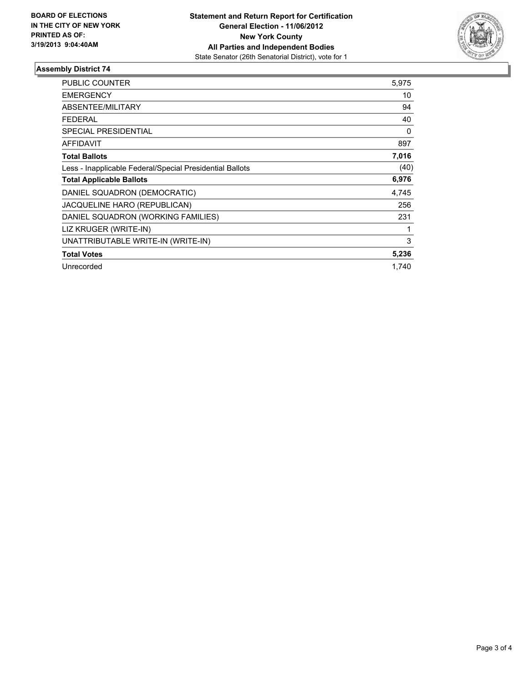

## **Assembly District 74**

| <b>PUBLIC COUNTER</b>                                    | 5,975 |
|----------------------------------------------------------|-------|
| <b>EMERGENCY</b>                                         | 10    |
| <b>ABSENTEE/MILITARY</b>                                 | 94    |
| <b>FEDERAL</b>                                           | 40    |
| <b>SPECIAL PRESIDENTIAL</b>                              | 0     |
| <b>AFFIDAVIT</b>                                         | 897   |
| <b>Total Ballots</b>                                     | 7,016 |
| Less - Inapplicable Federal/Special Presidential Ballots | (40)  |
| <b>Total Applicable Ballots</b>                          | 6,976 |
| DANIEL SQUADRON (DEMOCRATIC)                             | 4,745 |
| <b>JACQUELINE HARO (REPUBLICAN)</b>                      | 256   |
| DANIEL SQUADRON (WORKING FAMILIES)                       | 231   |
| LIZ KRUGER (WRITE-IN)                                    |       |
| UNATTRIBUTABLE WRITE-IN (WRITE-IN)                       | 3     |
| <b>Total Votes</b>                                       | 5,236 |
| Unrecorded                                               | 1.740 |